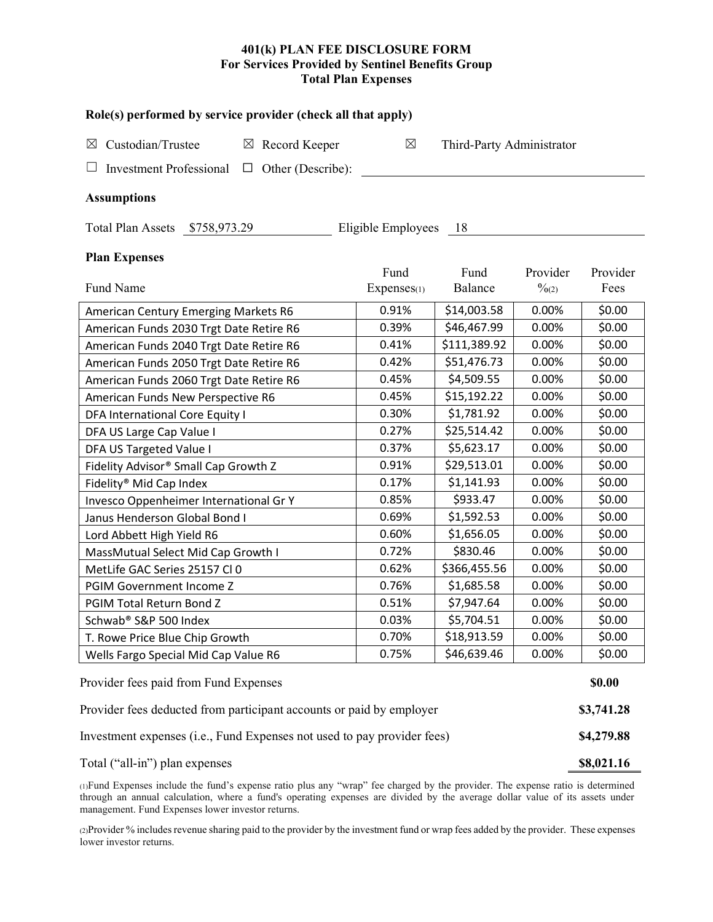## **401(k) PLAN FEE DISCLOSURE FORM For Services Provided by Sentinel Benefits Group Total Plan Expenses**

| Role(s) performed by service provider (check all that apply)            |             |                           |                   |          |  |  |  |  |  |  |
|-------------------------------------------------------------------------|-------------|---------------------------|-------------------|----------|--|--|--|--|--|--|
| Custodian/Trustee<br>$\boxtimes$<br>$\boxtimes$<br>Record Keeper        | $\boxtimes$ | Third-Party Administrator |                   |          |  |  |  |  |  |  |
| $\Box$ Other (Describe):<br><b>Investment Professional</b>              |             |                           |                   |          |  |  |  |  |  |  |
|                                                                         |             |                           |                   |          |  |  |  |  |  |  |
| <b>Assumptions</b>                                                      |             |                           |                   |          |  |  |  |  |  |  |
| Total Plan Assets \$758,973.29<br>Eligible Employees<br>-18             |             |                           |                   |          |  |  |  |  |  |  |
| <b>Plan Expenses</b>                                                    |             |                           |                   |          |  |  |  |  |  |  |
|                                                                         | Fund        | Fund                      | Provider          | Provider |  |  |  |  |  |  |
| Fund Name                                                               | Expenses(1) | Balance                   | $\frac{0}{2}$ (2) | Fees     |  |  |  |  |  |  |
| American Century Emerging Markets R6                                    | 0.91%       | \$14,003.58               | 0.00%             | \$0.00   |  |  |  |  |  |  |
| American Funds 2030 Trgt Date Retire R6                                 | 0.39%       | \$46,467.99               | 0.00%             | \$0.00   |  |  |  |  |  |  |
| American Funds 2040 Trgt Date Retire R6                                 | 0.41%       | \$111,389.92              | 0.00%             | \$0.00   |  |  |  |  |  |  |
| American Funds 2050 Trgt Date Retire R6                                 | 0.42%       | \$51,476.73               | 0.00%             | \$0.00   |  |  |  |  |  |  |
| American Funds 2060 Trgt Date Retire R6                                 | 0.45%       | \$4,509.55                | 0.00%             | \$0.00   |  |  |  |  |  |  |
| American Funds New Perspective R6                                       | 0.45%       | \$15,192.22               | 0.00%             | \$0.00   |  |  |  |  |  |  |
| DFA International Core Equity I                                         | 0.30%       | \$1,781.92                | 0.00%             | \$0.00   |  |  |  |  |  |  |
| DFA US Large Cap Value I                                                | 0.27%       | \$25,514.42               | 0.00%             | \$0.00   |  |  |  |  |  |  |
| DFA US Targeted Value I                                                 | 0.37%       | \$5,623.17                | 0.00%             | \$0.00   |  |  |  |  |  |  |
| Fidelity Advisor® Small Cap Growth Z                                    | 0.91%       | \$29,513.01               | 0.00%             | \$0.00   |  |  |  |  |  |  |
| Fidelity <sup>®</sup> Mid Cap Index                                     | 0.17%       | \$1,141.93                | 0.00%             | \$0.00   |  |  |  |  |  |  |
| Invesco Oppenheimer International Gr Y                                  | 0.85%       | \$933.47                  | 0.00%             | \$0.00   |  |  |  |  |  |  |
| Janus Henderson Global Bond I                                           | 0.69%       | \$1,592.53                | 0.00%             | \$0.00   |  |  |  |  |  |  |
| Lord Abbett High Yield R6                                               | 0.60%       | \$1,656.05                | 0.00%             | \$0.00   |  |  |  |  |  |  |
| MassMutual Select Mid Cap Growth I                                      | 0.72%       | \$830.46                  | 0.00%             | \$0.00   |  |  |  |  |  |  |
| MetLife GAC Series 25157 Cl 0                                           | 0.62%       | \$366,455.56              | 0.00%             | \$0.00   |  |  |  |  |  |  |
| PGIM Government Income Z                                                | 0.76%       | \$1,685.58                | 0.00%             | \$0.00   |  |  |  |  |  |  |
| PGIM Total Return Bond Z                                                | 0.51%       | \$7,947.64                | 0.00%             | \$0.00   |  |  |  |  |  |  |
| Schwab <sup>®</sup> S&P 500 Index                                       | 0.03%       | \$5,704.51                | 0.00%             | \$0.00   |  |  |  |  |  |  |
| T. Rowe Price Blue Chip Growth                                          | 0.70%       | \$18,913.59               | 0.00%             | \$0.00   |  |  |  |  |  |  |
| Wells Fargo Special Mid Cap Value R6                                    | 0.75%       | \$46,639.46               | 0.00%             | \$0.00   |  |  |  |  |  |  |
| Provider fees paid from Fund Expenses                                   |             |                           |                   |          |  |  |  |  |  |  |
| Provider fees deducted from participant accounts or paid by employer    |             |                           |                   |          |  |  |  |  |  |  |
| Investment expenses (i.e., Fund Expenses not used to pay provider fees) |             |                           |                   |          |  |  |  |  |  |  |
| Total ("all-in") plan expenses                                          |             |                           |                   |          |  |  |  |  |  |  |

(1)Fund Expenses include the fund's expense ratio plus any "wrap" fee charged by the provider. The expense ratio is determined through an annual calculation, where a fund's operating expenses are divided by the average dollar value of its assets under management. Fund Expenses lower investor returns.

(2)Provider % includes revenue sharing paid to the provider by the investment fund or wrap fees added by the provider. These expenses lower investor returns.